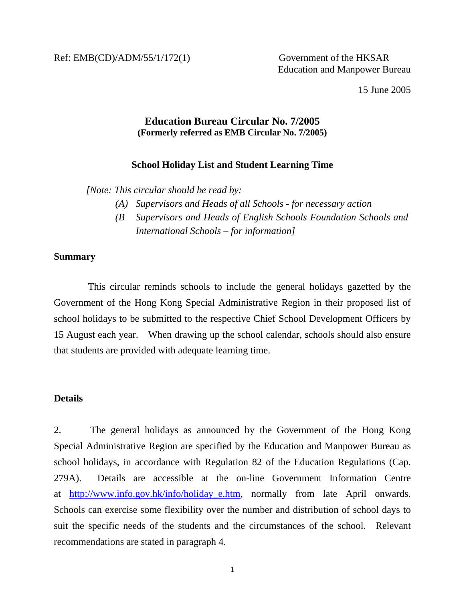15 June 2005

## **Education Bureau Circular No. 7/2005 (Formerly referred as EMB Circular No. 7/2005)**

### **School Holiday List and Student Learning Time**

 *[Note: This circular should be read by:* 

- *(A) Supervisors and Heads of all Schools for necessary action*
- *(B Supervisors and Heads of English Schools Foundation Schools and International Schools – for information]*

#### **Summary**

 This circular reminds schools to include the general holidays gazetted by the Government of the Hong Kong Special Administrative Region in their proposed list of school holidays to be submitted to the respective Chief School Development Officers by 15 August each year. When drawing up the school calendar, schools should also ensure that students are provided with adequate learning time.

### **Details**

2. The general holidays as announced by the Government of the Hong Kong Special Administrative Region are specified by the Education and Manpower Bureau as school holidays, in accordance with Regulation 82 of the Education Regulations (Cap. 279A). Details are accessible at the on-line Government Information Centre at [http://www.info.gov.hk/info/holiday\\_e.htm,](http://www.info.gov.hk/info/holiday_e.htm) normally from late April onwards. Schools can exercise some flexibility over the number and distribution of school days to suit the specific needs of the students and the circumstances of the school. Relevant recommendations are stated in paragraph 4.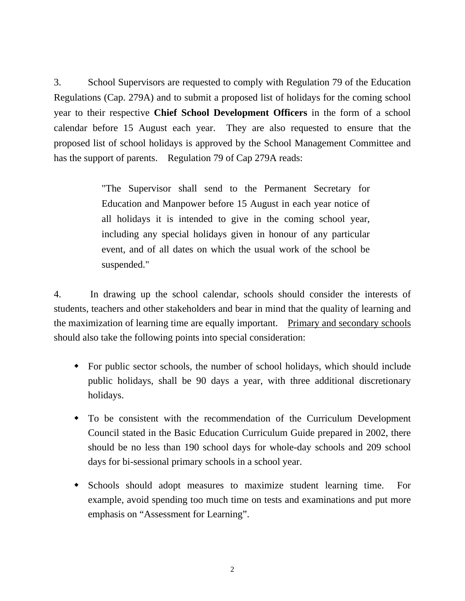3. School Supervisors are requested to comply with Regulation 79 of the Education Regulations (Cap. 279A) and to submit a proposed list of holidays for the coming school year to their respective **Chief School Development Officers** in the form of a school calendar before 15 August each year. They are also requested to ensure that the proposed list of school holidays is approved by the School Management Committee and has the support of parents. Regulation 79 of Cap 279A reads:

> "The Supervisor shall send to the Permanent Secretary for Education and Manpower before 15 August in each year notice of all holidays it is intended to give in the coming school year, including any special holidays given in honour of any particular event, and of all dates on which the usual work of the school be suspended."

4. In drawing up the school calendar, schools should consider the interests of students, teachers and other stakeholders and bear in mind that the quality of learning and the maximization of learning time are equally important. Primary and secondary schools should also take the following points into special consideration:

- For public sector schools, the number of school holidays, which should include public holidays, shall be 90 days a year, with three additional discretionary holidays.
- To be consistent with the recommendation of the Curriculum Development Council stated in the Basic Education Curriculum Guide prepared in 2002, there should be no less than 190 school days for whole-day schools and 209 school days for bi-sessional primary schools in a school year.
- Schools should adopt measures to maximize student learning time. For example, avoid spending too much time on tests and examinations and put more emphasis on "Assessment for Learning".